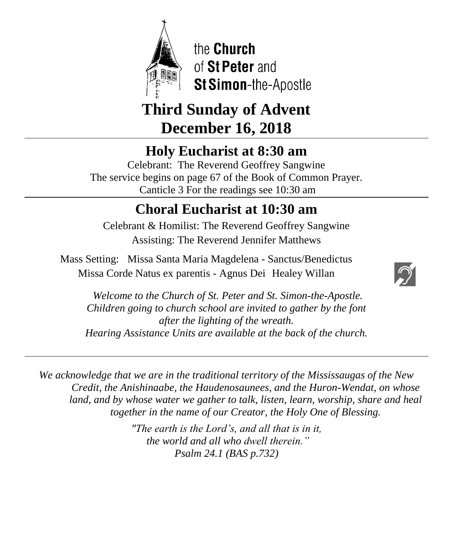

the Church of St Peter and St Simon-the-Apostle

# **Third Sunday of Advent December 16, 2018**

# **Holy Eucharist at 8:30 am**

Celebrant: The Reverend Geoffrey Sangwine The service begins on page 67 of the Book of Common Prayer. Canticle 3 For the readings see 10:30 am

# **Choral Eucharist at 10:30 am**

Celebrant & Homilist: The Reverend Geoffrey Sangwine Assisting: The Reverend Jennifer Matthews

Mass Setting: Missa Santa Maria Magdelena - Sanctus/Benedictus Missa Corde Natus ex parentis - Agnus Dei Healey Willan



*Welcome to the Church of St. Peter and St. Simon-the-Apostle. Children going to church school are invited to gather by the font after the lighting of the wreath. Hearing Assistance Units are available at the back of the church.*

*We acknowledge that we are in the traditional territory of the Mississaugas of the New Credit, the Anishinaabe, the Haudenosaunees, and the Huron-Wendat, on whose land, and by whose water we gather to talk, listen, learn, worship, share and heal together in the name of our Creator, the Holy One of Blessing.*

> *"The earth is the Lord's, and all that is in it, the world and all who dwell therein." Psalm 24.1 (BAS p.732)*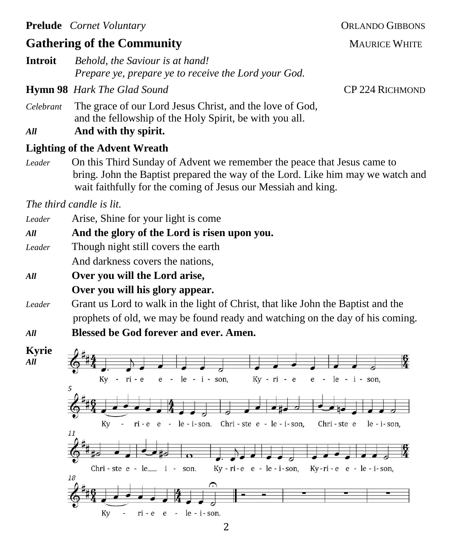# **Gathering of the Community MAURICE WHITE**

**Introit** *Behold, the Saviour is at hand! Prepare ye, prepare ye to receive the Lord your God.*

**Hymn 98** *Hark The Glad Sound* **CP 224 RICHMOND** 

- *Celebrant* The grace of our Lord Jesus Christ, and the love of God, and the fellowship of the Holy Spirit, be with you all.
- *All* **And with thy spirit.**

## **Lighting of the Advent Wreath**

*Leader* On this Third Sunday of Advent we remember the peace that Jesus came to bring. John the Baptist prepared the way of the Lord. Like him may we watch and wait faithfully for the coming of Jesus our Messiah and king.

*The third candle is lit.*

- *Leader* Arise, Shine for your light is come
- *All* **And the glory of the Lord is risen upon you.**
- *Leader* Though night still covers the earth

And darkness covers the nations,

# *All* **Over you will the Lord arise, Over you will his glory appear.**

- *Leader* Grant us Lord to walk in the light of Christ, that like John the Baptist and the prophets of old, we may be found ready and watching on the day of his coming.
- *All* **Blessed be God forever and ever. Amen.**

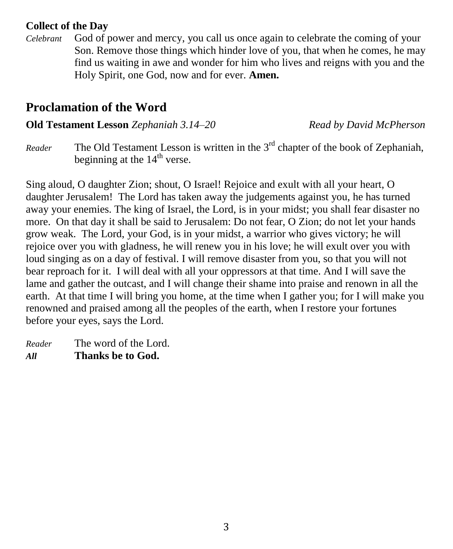## **Collect of the Day**

*Celebrant* God of power and mercy, you call us once again to celebrate the coming of your Son. Remove those things which hinder love of you, that when he comes, he may find us waiting in awe and wonder for him who lives and reigns with you and the Holy Spirit, one God, now and for ever. **Amen.**

# **Proclamation of the Word**

**Old Testament Lesson** *Zephaniah 3.14–20**Read by David McPherson*

*Reader* The Old Testament Lesson is written in the 3<sup>rd</sup> chapter of the book of Zephaniah, beginning at the  $14<sup>th</sup>$  verse.

Sing aloud, O daughter Zion; shout, O Israel! Rejoice and exult with all your heart, O daughter Jerusalem! The Lord has taken away the judgements against you, he has turned away your enemies. The king of Israel, the Lord, is in your midst; you shall fear disaster no more. On that day it shall be said to Jerusalem: Do not fear, O Zion; do not let your hands grow weak. The Lord, your God, is in your midst, a warrior who gives victory; he will rejoice over you with gladness, he will renew you in his love; he will exult over you with loud singing as on a day of festival. I will remove disaster from you, so that you will not bear reproach for it. I will deal with all your oppressors at that time. And I will save the lame and gather the outcast, and I will change their shame into praise and renown in all the earth. At that time I will bring you home, at the time when I gather you; for I will make you renowned and praised among all the peoples of the earth, when I restore your fortunes before your eyes, says the Lord.

*Reader* The word of the Lord. *All* **Thanks be to God.**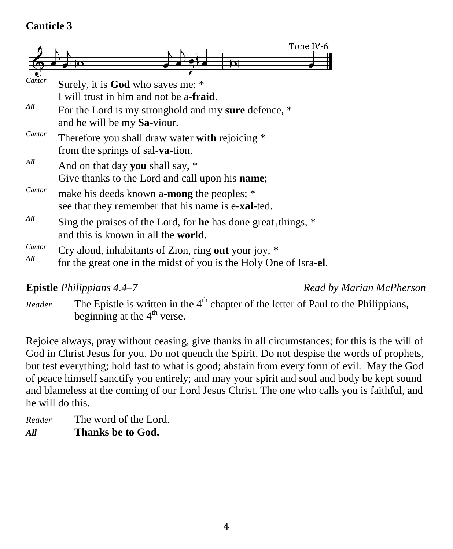## **Canticle 3**

|               | Tone IV-6                                                                                                                 |
|---------------|---------------------------------------------------------------------------------------------------------------------------|
|               | <u>ticolt</u>                                                                                                             |
| Cantor        | Surely, it is God who saves me; *                                                                                         |
|               | I will trust in him and not be a- <b>fraid</b> .                                                                          |
| All           | For the Lord is my stronghold and my sure defence, *<br>and he will be my Sa-viour.                                       |
| Cantor        | Therefore you shall draw water with rejoicing *<br>from the springs of sal-va-tion.                                       |
| All           | And on that day you shall say, *<br>Give thanks to the Lord and call upon his <b>name</b> ;                               |
| Cantor        | make his deeds known a- <b>mong</b> the peoples; *<br>see that they remember that his name is e- <b>xal</b> -ted.         |
| All           | Sing the praises of the Lord, for he has done great things, $*$<br>and this is known in all the <b>world</b> .            |
| Cantor<br>All | Cry aloud, inhabitants of Zion, ring out your joy, *<br>for the great one in the midst of you is the Holy One of Isra-el. |

**Epistle** *Philippians* 4.4–7 **Read by** *Read by Marian McPherson* 

*Reader* The Epistle is written in the 4<sup>th</sup> chapter of the letter of Paul to the Philippians, beginning at the  $4<sup>th</sup>$  verse.

Rejoice always, pray without ceasing, give thanks in all circumstances; for this is the will of God in Christ Jesus for you. Do not quench the Spirit. Do not despise the words of prophets, but test everything; hold fast to what is good; abstain from every form of evil. May the God of peace himself sanctify you entirely; and may your spirit and soul and body be kept sound and blameless at the coming of our Lord Jesus Christ. The one who calls you is faithful, and he will do this.

*Reader* The word of the Lord. *All* **Thanks be to God.**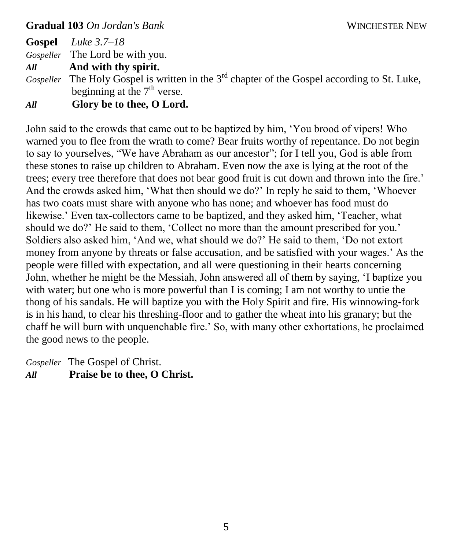#### **Gradual 103** *On Jordan's Bank* **WINCHESTER NEW**

**Gospel** *Luke 3.7–18 Gospeller* The Lord be with you.

*All* **And with thy spirit.**

Gospeller The Holy Gospel is written in the 3<sup>rd</sup> chapter of the Gospel according to St. Luke, beginning at the  $7<sup>th</sup>$  verse.

*All* **Glory be to thee, O Lord.**

John said to the crowds that came out to be baptized by him, 'You brood of vipers! Who warned you to flee from the wrath to come? Bear fruits worthy of repentance. Do not begin to say to yourselves, "We have Abraham as our ancestor"; for I tell you, God is able from these stones to raise up children to Abraham. Even now the axe is lying at the root of the trees; every tree therefore that does not bear good fruit is cut down and thrown into the fire.' And the crowds asked him, 'What then should we do?' In reply he said to them, 'Whoever has two coats must share with anyone who has none; and whoever has food must do likewise.' Even tax-collectors came to be baptized, and they asked him, 'Teacher, what should we do?' He said to them, 'Collect no more than the amount prescribed for you.' Soldiers also asked him, 'And we, what should we do?' He said to them, 'Do not extort money from anyone by threats or false accusation, and be satisfied with your wages.' As the people were filled with expectation, and all were questioning in their hearts concerning John, whether he might be the Messiah, John answered all of them by saying, 'I baptize you with water; but one who is more powerful than I is coming; I am not worthy to untie the thong of his sandals. He will baptize you with the Holy Spirit and fire. His winnowing-fork is in his hand, to clear his threshing-floor and to gather the wheat into his granary; but the chaff he will burn with unquenchable fire.' So, with many other exhortations, he proclaimed the good news to the people.

*Gospeller* The Gospel of Christ. *All* **Praise be to thee, O Christ.**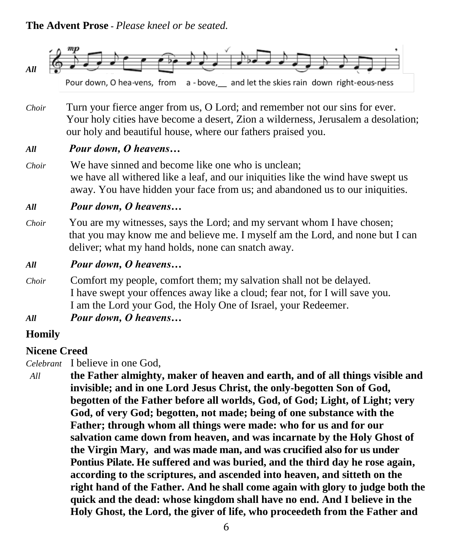#### **The Advent Prose -** *Please kneel or be seated.*



Pour down, O hea-vens, from a - bove, and let the skies rain down right-eous-ness

*Choir* Turn your fierce anger from us, O Lord; and remember not our sins for ever. Your holy cities have become a desert, Zion a wilderness, Jerusalem a desolation; our holy and beautiful house, where our fathers praised you.

#### *All Pour down, O heavens…*

*Choir* We have sinned and become like one who is unclean; we have all withered like a leaf, and our iniquities like the wind have swept us away. You have hidden your face from us; and abandoned us to our iniquities.

#### *All Pour down, O heavens…*

- *Choir* You are my witnesses, says the Lord; and my servant whom I have chosen; that you may know me and believe me. I myself am the Lord, and none but I can deliver; what my hand holds, none can snatch away.
- *All Pour down, O heavens…*
- *Choir* Comfort my people, comfort them; my salvation shall not be delayed. I have swept your offences away like a cloud; fear not, for I will save you. I am the Lord your God, the Holy One of Israel, your Redeemer.
- *All Pour down, O heavens…*

#### **Homily**

#### **Nicene Creed**

*Celebrant* I believe in one God,

*All* **the Father almighty, maker of heaven and earth, and of all things visible and invisible; and in one Lord Jesus Christ, the only-begotten Son of God, begotten of the Father before all worlds, God, of God; Light, of Light; very God, of very God; begotten, not made; being of one substance with the Father; through whom all things were made: who for us and for our salvation came down from heaven, and was incarnate by the Holy Ghost of the Virgin Mary, and was made man, and was crucified also for us under Pontius Pilate. He suffered and was buried, and the third day he rose again, according to the scriptures, and ascended into heaven, and sitteth on the right hand of the Father. And he shall come again with glory to judge both the quick and the dead: whose kingdom shall have no end. And I believe in the Holy Ghost, the Lord, the giver of life, who proceedeth from the Father and**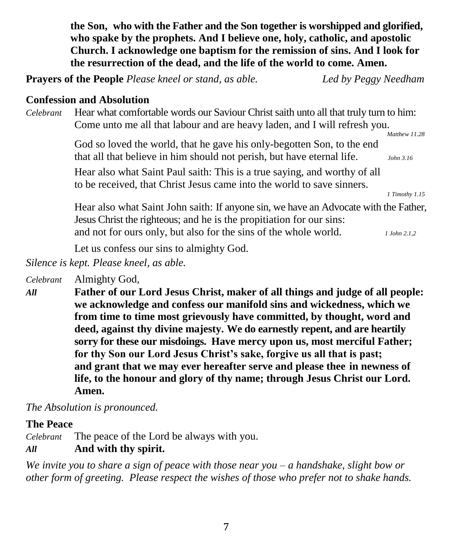**the Son, who with the Father and the Son together is worshipped and glorified, who spake by the prophets. And I believe one, holy, catholic, and apostolic Church. I acknowledge one baptism for the remission of sins. And I look for the resurrection of the dead, and the life of the world to come. Amen.**

**Prayers of the People** *Please kneel or stand, as able. Led by Peggy Needham*

#### **Confession and Absolution**

*Celebrant* Hear what comfortable words our Saviour Christ saith unto all that truly turn to him: Come unto me all that labour and are heavy laden, and I will refresh you.

> God so loved the world, that he gave his only-begotten Son, to the end that all that believe in him should not perish, but have eternal life. *John 3.16*

Hear also what Saint Paul saith: This is a true saying, and worthy of all to be received, that Christ Jesus came into the world to save sinners.

*1 Timothy 1.15*

 *Matthew 11.28*

Hear also what Saint John saith: If anyone sin, we have an Advocate with the Father, Jesus Christ the righteous; and he is the propitiation for our sins: and not for ours only, but also for the sins of the whole world. *1 John 2.1,2*

Let us confess our sins to almighty God.

*Silence is kept. Please kneel, as able.*

*Celebrant* Almighty God,

*All* **Father of our Lord Jesus Christ, maker of all things and judge of all people: we acknowledge and confess our manifold sins and wickedness, which we from time to time most grievously have committed, by thought, word and deed, against thy divine majesty. We do earnestly repent, and are heartily sorry for these our misdoings. Have mercy upon us, most merciful Father; for thy Son our Lord Jesus Christ's sake, forgive us all that is past; and grant that we may ever hereafter serve and please thee in newness of life, to the honour and glory of thy name; through Jesus Christ our Lord. Amen.**

*The Absolution is pronounced.*

## **The Peace**

*Celebrant* The peace of the Lord be always with you.

## *All* **And with thy spirit.**

*We invite you to share a sign of peace with those near you – a handshake, slight bow or other form of greeting. Please respect the wishes of those who prefer not to shake hands.*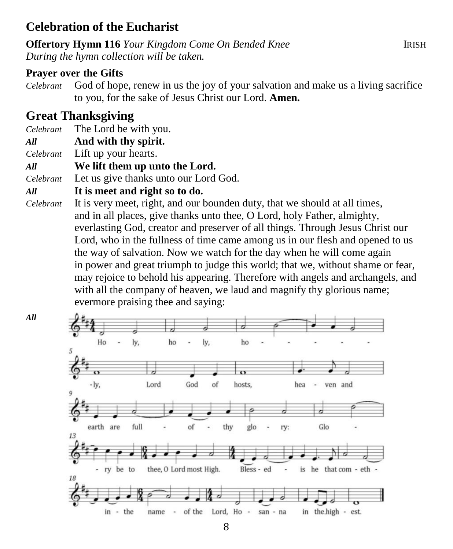## **Celebration of the Eucharist**

**Offertory Hymn 116** *Your Kingdom Come On Bended Knee* IRISH *During the hymn collection will be taken.*

## **Prayer over the Gifts**

*Celebrant* God of hope, renew in us the joy of your salvation and make us a living sacrifice to you, for the sake of Jesus Christ our Lord. **Amen.**

# **Great Thanksgiving**

*All*

- *Celebrant* The Lord be with you.
- *All* **And with thy spirit.**
- *Celebrant* Lift up your hearts.

*All* **We lift them up unto the Lord.**

*Celebrant* Let us give thanks unto our Lord God.

#### *All* **It is meet and right so to do.**

*Celebrant* It is very meet, right, and our bounden duty, that we should at all times, and in all places, give thanks unto thee, O Lord, holy Father, almighty, everlasting God, creator and preserver of all things. Through Jesus Christ our Lord, who in the fullness of time came among us in our flesh and opened to us the way of salvation. Now we watch for the day when he will come again in power and great triumph to judge this world; that we, without shame or fear, may rejoice to behold his appearing. Therefore with angels and archangels, and with all the company of heaven, we laud and magnify thy glorious name; evermore praising thee and saying:

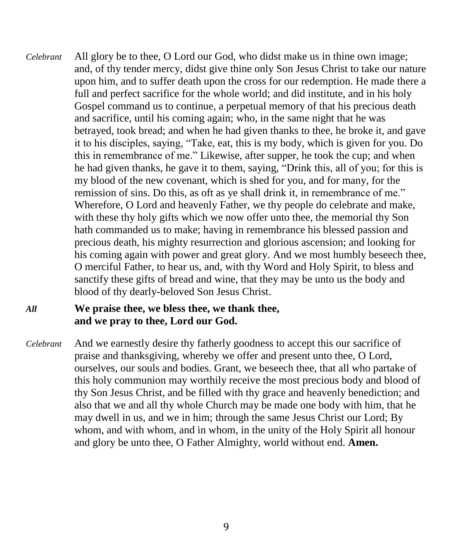*Celebrant* All glory be to thee, O Lord our God, who didst make us in thine own image; and, of thy tender mercy, didst give thine only Son Jesus Christ to take our nature upon him, and to suffer death upon the cross for our redemption. He made there a full and perfect sacrifice for the whole world; and did institute, and in his holy Gospel command us to continue, a perpetual memory of that his precious death and sacrifice, until his coming again; who, in the same night that he was betrayed, took bread; and when he had given thanks to thee, he broke it, and gave it to his disciples, saying, "Take, eat, this is my body, which is given for you. Do this in remembrance of me." Likewise, after supper, he took the cup; and when he had given thanks, he gave it to them, saying, "Drink this, all of you; for this is my blood of the new covenant, which is shed for you, and for many, for the remission of sins. Do this, as oft as ye shall drink it, in remembrance of me." Wherefore, O Lord and heavenly Father, we thy people do celebrate and make, with these thy holy gifts which we now offer unto thee, the memorial thy Son hath commanded us to make; having in remembrance his blessed passion and precious death, his mighty resurrection and glorious ascension; and looking for his coming again with power and great glory. And we most humbly beseech thee, O merciful Father, to hear us, and, with thy Word and Holy Spirit, to bless and sanctify these gifts of bread and wine, that they may be unto us the body and blood of thy dearly-beloved Son Jesus Christ.

## *All* **We praise thee, we bless thee, we thank thee, and we pray to thee, Lord our God.**

*Celebrant* And we earnestly desire thy fatherly goodness to accept this our sacrifice of praise and thanksgiving, whereby we offer and present unto thee, O Lord, ourselves, our souls and bodies. Grant, we beseech thee, that all who partake of this holy communion may worthily receive the most precious body and blood of thy Son Jesus Christ, and be filled with thy grace and heavenly benediction; and also that we and all thy whole Church may be made one body with him, that he may dwell in us, and we in him; through the same Jesus Christ our Lord; By whom, and with whom, and in whom, in the unity of the Holy Spirit all honour and glory be unto thee, O Father Almighty, world without end. **Amen.**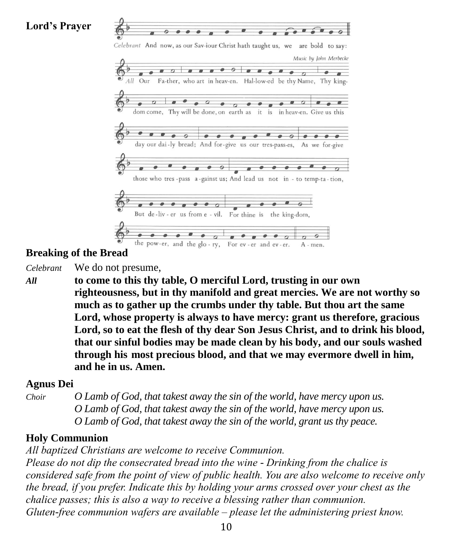**Lord's Prayer**



## **Breaking of the Bread**

*Celebrant* We do not presume,

*All* **to come to this thy table, O merciful Lord, trusting in our own righteousness, but in thy manifold and great mercies. We are not worthy so much as to gather up the crumbs under thy table. But thou art the same Lord, whose property is always to have mercy: grant us therefore, gracious Lord, so to eat the flesh of thy dear Son Jesus Christ, and to drink his blood, that our sinful bodies may be made clean by his body, and our souls washed through his most precious blood, and that we may evermore dwell in him, and he in us. Amen.**

#### **Agnus Dei**

*Choir O Lamb of God, that takest away the sin of the world, have mercy upon us. O Lamb of God, that takest away the sin of the world, have mercy upon us. O Lamb of God, that takest away the sin of the world, grant us thy peace.*

#### **Holy Communion**

*All baptized Christians are welcome to receive Communion.*

*Please do not dip the consecrated bread into the wine - Drinking from the chalice is considered safe from the point of view of public health. You are also welcome to receive only the bread, if you prefer. Indicate this by holding your arms crossed over your chest as the chalice passes; this is also a way to receive a blessing rather than communion. Gluten-free communion wafers are available – please let the administering priest know.*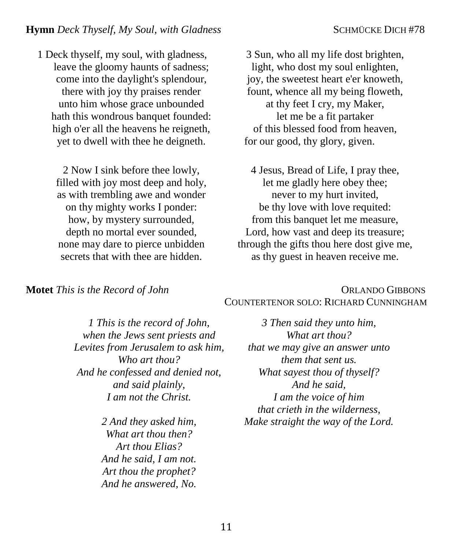1 Deck thyself, my soul, with gladness, leave the gloomy haunts of sadness; come into the daylight's splendour, there with joy thy praises render unto him whose grace unbounded hath this wondrous banquet founded: high o'er all the heavens he reigneth, yet to dwell with thee he deigneth.

2 Now I sink before thee lowly, filled with joy most deep and holy, as with trembling awe and wonder on thy mighty works I ponder: how, by mystery surrounded, depth no mortal ever sounded, none may dare to pierce unbidden secrets that with thee are hidden.

3 Sun, who all my life dost brighten, light, who dost my soul enlighten, joy, the sweetest heart e'er knoweth, fount, whence all my being floweth, at thy feet I cry, my Maker, let me be a fit partaker of this blessed food from heaven, for our good, thy glory, given.

4 Jesus, Bread of Life, I pray thee, let me gladly here obey thee; never to my hurt invited, be thy love with love requited: from this banquet let me measure, Lord, how vast and deep its treasure; through the gifts thou here dost give me, as thy guest in heaven receive me.

**Motet** *This is the Record of John ORLANDO GIBBONS* COUNTERTENOR SOLO: RICHARD CUNNINGHAM

> *1 This is the record of John, when the Jews sent priests and Levites from Jerusalem to ask him, Who art thou? And he confessed and denied not, and said plainly, I am not the Christ.*

> > *2 And they asked him, What art thou then? Art thou Elias? And he said, I am not. Art thou the prophet? And he answered, No.*

*3 Then said they unto him, What art thou? that we may give an answer unto them that sent us. What sayest thou of thyself? And he said, I am the voice of him that crieth in the wilderness, Make straight the way of the Lord.*